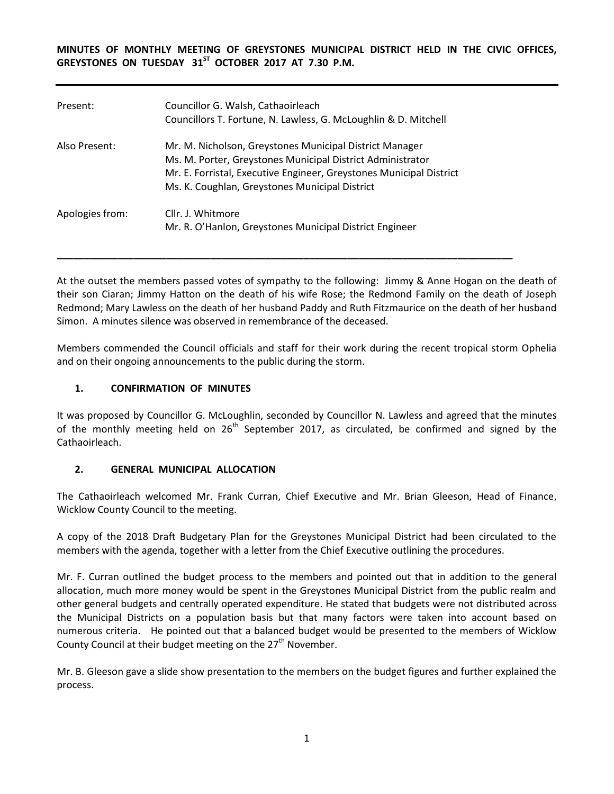**MINUTES OF MONTHLY MEETING OF GREYSTONES MUNICIPAL DISTRICT HELD IN THE CIVIC OFFICES,**  GREYSTONES ON TUESDAY 31<sup>ST</sup> OCTOBER 2017 AT 7.30 P.M.

| Present:        | Councillor G. Walsh, Cathaoirleach<br>Councillors T. Fortune, N. Lawless, G. McLoughlin & D. Mitchell                                                                                                                                          |
|-----------------|------------------------------------------------------------------------------------------------------------------------------------------------------------------------------------------------------------------------------------------------|
| Also Present:   | Mr. M. Nicholson, Greystones Municipal District Manager<br>Ms. M. Porter, Greystones Municipal District Administrator<br>Mr. E. Forristal, Executive Engineer, Greystones Municipal District<br>Ms. K. Coughlan, Greystones Municipal District |
| Apologies from: | Cllr. J. Whitmore<br>Mr. R. O'Hanlon, Greystones Municipal District Engineer                                                                                                                                                                   |

At the outset the members passed votes of sympathy to the following: Jimmy & Anne Hogan on the death of their son Ciaran; Jimmy Hatton on the death of his wife Rose; the Redmond Family on the death of Joseph Redmond; Mary Lawless on the death of her husband Paddy and Ruth Fitzmaurice on the death of her husband Simon. A minutes silence was observed in remembrance of the deceased.

**\_\_\_\_\_\_\_\_\_\_\_\_\_\_\_\_\_\_\_\_\_\_\_\_\_\_\_\_\_\_\_\_\_\_\_\_\_\_\_\_\_\_\_\_\_\_\_\_\_\_\_\_\_\_\_\_\_\_\_\_\_\_\_\_\_\_\_\_\_\_\_\_\_\_\_\_\_\_\_\_\_\_\_**

Members commended the Council officials and staff for their work during the recent tropical storm Ophelia and on their ongoing announcements to the public during the storm.

### **1. CONFIRMATION OF MINUTES**

It was proposed by Councillor G. McLoughlin, seconded by Councillor N. Lawless and agreed that the minutes of the monthly meeting held on 26<sup>th</sup> September 2017, as circulated, be confirmed and signed by the Cathaoirleach.

#### **2. GENERAL MUNICIPAL ALLOCATION**

The Cathaoirleach welcomed Mr. Frank Curran, Chief Executive and Mr. Brian Gleeson, Head of Finance, Wicklow County Council to the meeting.

A copy of the 2018 Draft Budgetary Plan for the Greystones Municipal District had been circulated to the members with the agenda, together with a letter from the Chief Executive outlining the procedures.

Mr. F. Curran outlined the budget process to the members and pointed out that in addition to the general allocation, much more money would be spent in the Greystones Municipal District from the public realm and other general budgets and centrally operated expenditure. He stated that budgets were not distributed across the Municipal Districts on a population basis but that many factors were taken into account based on numerous criteria. He pointed out that a balanced budget would be presented to the members of Wicklow County Council at their budget meeting on the  $27<sup>th</sup>$  November.

Mr. B. Gleeson gave a slide show presentation to the members on the budget figures and further explained the process.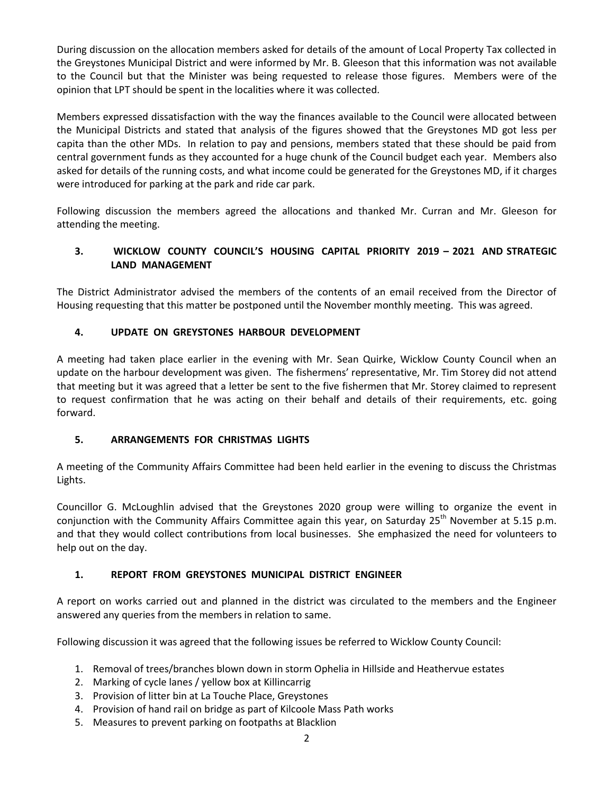During discussion on the allocation members asked for details of the amount of Local Property Tax collected in the Greystones Municipal District and were informed by Mr. B. Gleeson that this information was not available to the Council but that the Minister was being requested to release those figures. Members were of the opinion that LPT should be spent in the localities where it was collected.

Members expressed dissatisfaction with the way the finances available to the Council were allocated between the Municipal Districts and stated that analysis of the figures showed that the Greystones MD got less per capita than the other MDs. In relation to pay and pensions, members stated that these should be paid from central government funds as they accounted for a huge chunk of the Council budget each year. Members also asked for details of the running costs, and what income could be generated for the Greystones MD, if it charges were introduced for parking at the park and ride car park.

Following discussion the members agreed the allocations and thanked Mr. Curran and Mr. Gleeson for attending the meeting.

# **3. WICKLOW COUNTY COUNCIL'S HOUSING CAPITAL PRIORITY 2019 – 2021 AND STRATEGIC LAND MANAGEMENT**

The District Administrator advised the members of the contents of an email received from the Director of Housing requesting that this matter be postponed until the November monthly meeting. This was agreed.

# **4. UPDATE ON GREYSTONES HARBOUR DEVELOPMENT**

A meeting had taken place earlier in the evening with Mr. Sean Quirke, Wicklow County Council when an update on the harbour development was given. The fishermens' representative, Mr. Tim Storey did not attend that meeting but it was agreed that a letter be sent to the five fishermen that Mr. Storey claimed to represent to request confirmation that he was acting on their behalf and details of their requirements, etc. going forward.

# **5. ARRANGEMENTS FOR CHRISTMAS LIGHTS**

A meeting of the Community Affairs Committee had been held earlier in the evening to discuss the Christmas Lights.

Councillor G. McLoughlin advised that the Greystones 2020 group were willing to organize the event in conjunction with the Community Affairs Committee again this year, on Saturday  $25<sup>th</sup>$  November at 5.15 p.m. and that they would collect contributions from local businesses. She emphasized the need for volunteers to help out on the day.

# **1. REPORT FROM GREYSTONES MUNICIPAL DISTRICT ENGINEER**

A report on works carried out and planned in the district was circulated to the members and the Engineer answered any queries from the members in relation to same.

Following discussion it was agreed that the following issues be referred to Wicklow County Council:

- 1. Removal of trees/branches blown down in storm Ophelia in Hillside and Heathervue estates
- 2. Marking of cycle lanes / yellow box at Killincarrig
- 3. Provision of litter bin at La Touche Place, Greystones
- 4. Provision of hand rail on bridge as part of Kilcoole Mass Path works
- 5. Measures to prevent parking on footpaths at Blacklion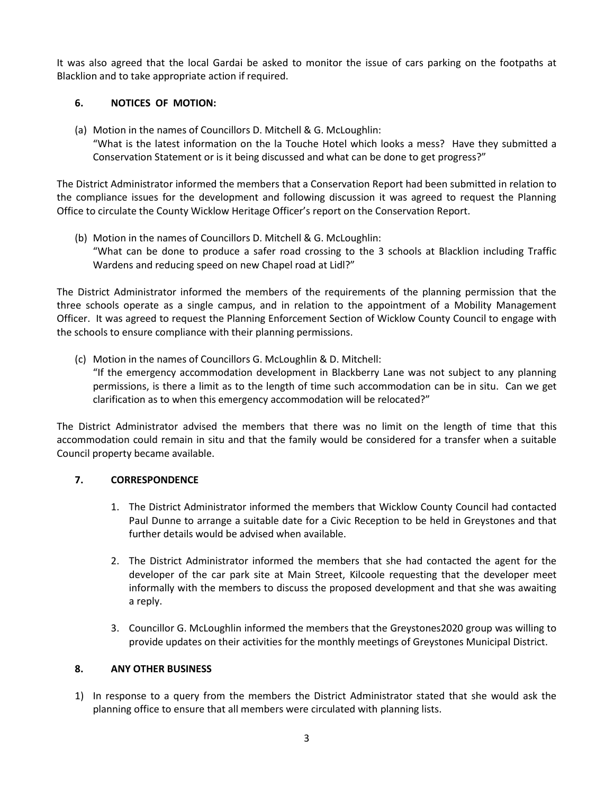It was also agreed that the local Gardai be asked to monitor the issue of cars parking on the footpaths at Blacklion and to take appropriate action if required.

### **6. NOTICES OF MOTION:**

(a) Motion in the names of Councillors D. Mitchell & G. McLoughlin: "What is the latest information on the la Touche Hotel which looks a mess? Have they submitted a Conservation Statement or is it being discussed and what can be done to get progress?"

The District Administrator informed the members that a Conservation Report had been submitted in relation to the compliance issues for the development and following discussion it was agreed to request the Planning Office to circulate the County Wicklow Heritage Officer's report on the Conservation Report.

(b) Motion in the names of Councillors D. Mitchell & G. McLoughlin: "What can be done to produce a safer road crossing to the 3 schools at Blacklion including Traffic Wardens and reducing speed on new Chapel road at Lidl?"

The District Administrator informed the members of the requirements of the planning permission that the three schools operate as a single campus, and in relation to the appointment of a Mobility Management Officer. It was agreed to request the Planning Enforcement Section of Wicklow County Council to engage with the schools to ensure compliance with their planning permissions.

(c) Motion in the names of Councillors G. McLoughlin & D. Mitchell:

"If the emergency accommodation development in Blackberry Lane was not subject to any planning permissions, is there a limit as to the length of time such accommodation can be in situ. Can we get clarification as to when this emergency accommodation will be relocated?"

The District Administrator advised the members that there was no limit on the length of time that this accommodation could remain in situ and that the family would be considered for a transfer when a suitable Council property became available.

#### **7. CORRESPONDENCE**

- 1. The District Administrator informed the members that Wicklow County Council had contacted Paul Dunne to arrange a suitable date for a Civic Reception to be held in Greystones and that further details would be advised when available.
- 2. The District Administrator informed the members that she had contacted the agent for the developer of the car park site at Main Street, Kilcoole requesting that the developer meet informally with the members to discuss the proposed development and that she was awaiting a reply.
- 3. Councillor G. McLoughlin informed the members that the Greystones2020 group was willing to provide updates on their activities for the monthly meetings of Greystones Municipal District.

#### **8. ANY OTHER BUSINESS**

1) In response to a query from the members the District Administrator stated that she would ask the planning office to ensure that all members were circulated with planning lists.